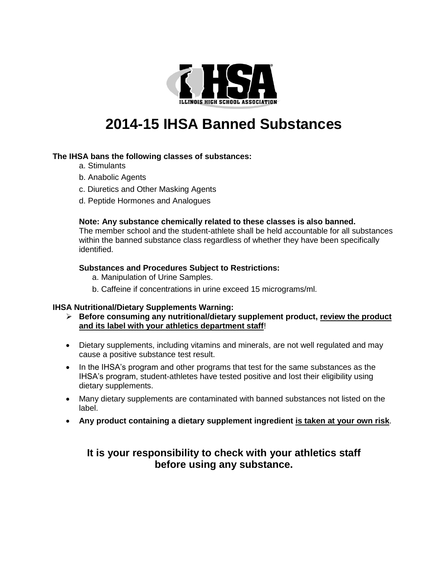

# **2014-15 IHSA Banned Substances**

## **The IHSA bans the following classes of substances:**

- a. Stimulants
- b. Anabolic Agents
- c. Diuretics and Other Masking Agents
- d. Peptide Hormones and Analogues

## **Note: Any substance chemically related to these classes is also banned.**

The member school and the student-athlete shall be held accountable for all substances within the banned substance class regardless of whether they have been specifically identified.

## **Substances and Procedures Subject to Restrictions:**

- a. Manipulation of Urine Samples.
- b. Caffeine if concentrations in urine exceed 15 micrograms/ml.

## **IHSA Nutritional/Dietary Supplements Warning:**

- **Before consuming any nutritional/dietary supplement product, review the product and its label with your athletics department staff**!
- Dietary supplements, including vitamins and minerals, are not well regulated and may cause a positive substance test result.
- In the IHSA's program and other programs that test for the same substances as the IHSA's program, student-athletes have tested positive and lost their eligibility using dietary supplements.
- Many dietary supplements are contaminated with banned substances not listed on the label.
- **Any product containing a dietary supplement ingredient is taken at your own risk**.

# **It is your responsibility to check with your athletics staff before using any substance.**